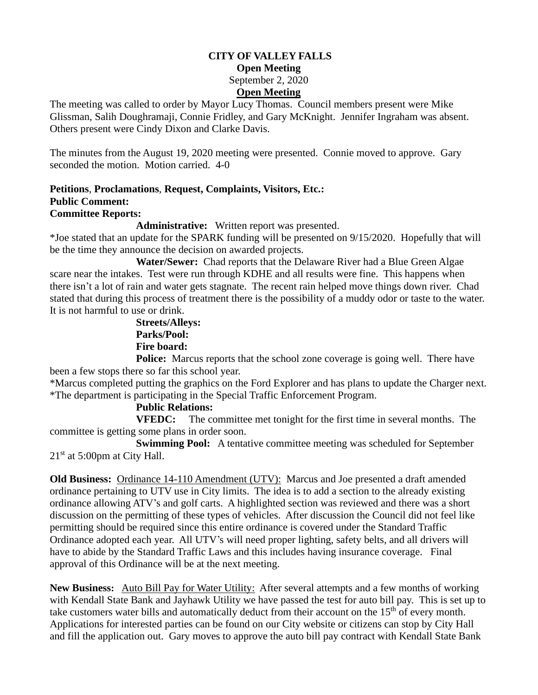# **CITY OF VALLEY FALLS Open Meeting** September 2, 2020 **Open Meeting**

The meeting was called to order by Mayor Lucy Thomas. Council members present were Mike Glissman, Salih Doughramaji, Connie Fridley, and Gary McKnight. Jennifer Ingraham was absent. Others present were Cindy Dixon and Clarke Davis.

The minutes from the August 19, 2020 meeting were presented. Connie moved to approve. Gary seconded the motion. Motion carried. 4-0

### **Petitions**, **Proclamations**, **Request, Complaints, Visitors, Etc.: Public Comment: Committee Reports:**

**Administrative:** Written report was presented.

\*Joe stated that an update for the SPARK funding will be presented on 9/15/2020. Hopefully that will be the time they announce the decision on awarded projects.

 **Water/Sewer:** Chad reports that the Delaware River had a Blue Green Algae scare near the intakes. Test were run through KDHE and all results were fine. This happens when there isn't a lot of rain and water gets stagnate. The recent rain helped move things down river. Chad stated that during this process of treatment there is the possibility of a muddy odor or taste to the water. It is not harmful to use or drink.

# **Streets/Alleys: Parks/Pool: Fire board:**

**Police:** Marcus reports that the school zone coverage is going well. There have been a few stops there so far this school year.

\*Marcus completed putting the graphics on the Ford Explorer and has plans to update the Charger next. \*The department is participating in the Special Traffic Enforcement Program.

# **Public Relations:**

**VFEDC:** The committee met tonight for the first time in several months. The committee is getting some plans in order soon.

**Swimming Pool:** A tentative committee meeting was scheduled for September 21<sup>st</sup> at 5:00pm at City Hall.

**Old Business:** Ordinance 14-110 Amendment (UTV): Marcus and Joe presented a draft amended ordinance pertaining to UTV use in City limits. The idea is to add a section to the already existing ordinance allowing ATV's and golf carts. A highlighted section was reviewed and there was a short discussion on the permitting of these types of vehicles. After discussion the Council did not feel like permitting should be required since this entire ordinance is covered under the Standard Traffic Ordinance adopted each year. All UTV's will need proper lighting, safety belts, and all drivers will have to abide by the Standard Traffic Laws and this includes having insurance coverage. Final approval of this Ordinance will be at the next meeting.

**New Business:** Auto Bill Pay for Water Utility: After several attempts and a few months of working with Kendall State Bank and Jayhawk Utility we have passed the test for auto bill pay. This is set up to take customers water bills and automatically deduct from their account on the  $15<sup>th</sup>$  of every month. Applications for interested parties can be found on our City website or citizens can stop by City Hall and fill the application out. Gary moves to approve the auto bill pay contract with Kendall State Bank